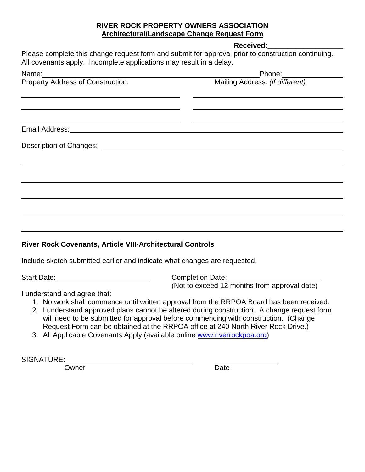## **RIVER ROCK PROPERTY OWNERS ASSOCIATION Architectural/Landscape Change Request Form**

**Received:\_\_\_\_\_\_\_\_\_\_\_\_\_\_\_\_\_\_\_**

Please complete this change request form and submit for approval prior to construction continuing. All covenants apply. Incomplete applications may result in a delay.

| Name:                             | Phone: ________________         |
|-----------------------------------|---------------------------------|
| Property Address of Construction: | Mailing Address: (if different) |
|                                   |                                 |
|                                   |                                 |
|                                   |                                 |
| Email Address:                    |                                 |
|                                   |                                 |
|                                   |                                 |
|                                   |                                 |
|                                   |                                 |
|                                   |                                 |
|                                   |                                 |
|                                   |                                 |
|                                   |                                 |

## **River Rock Covenants, Article VIII-Architectural Controls**

Include sketch submitted earlier and indicate what changes are requested.

Start Date: Completion Date: (Not to exceed 12 months from approval date)

I understand and agree that:

- 1. No work shall commence until written approval from the RRPOA Board has been received.
- 2. I understand approved plans cannot be altered during construction. A change request form will need to be submitted for approval before commencing with construction. (Change Request Form can be obtained at the RRPOA office at 240 North River Rock Drive.)
- 3. All Applicable Covenants Apply (available online [www.riverrockpoa.org\)](http://www.riverrockpoa.org/)

SIGNATURE:

Owner **Date**